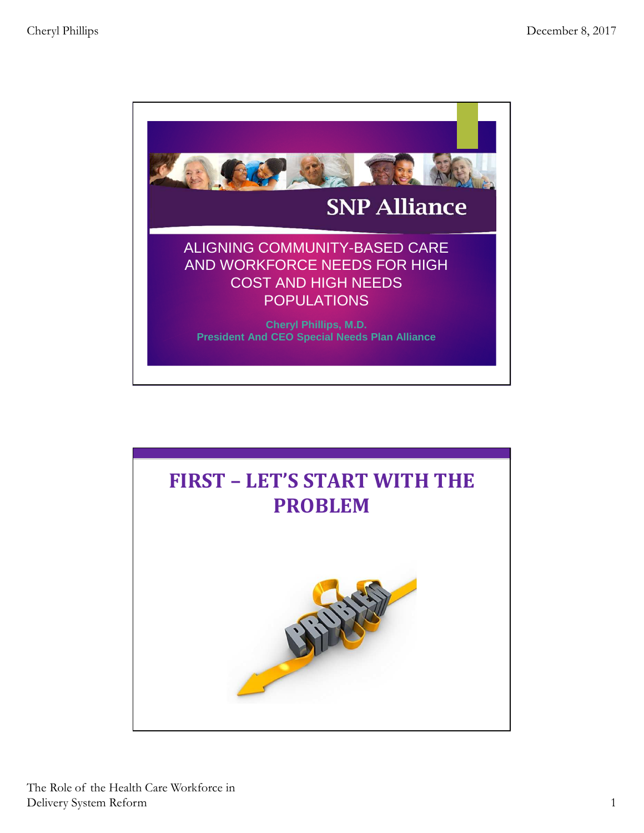

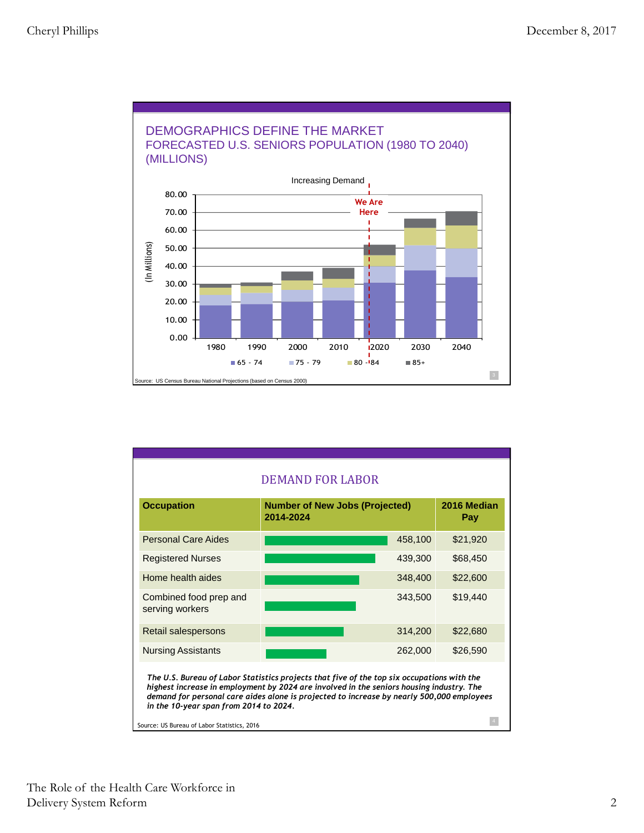

| <b>Number of New Jobs (Projected)</b><br>2014-2024 | 2016 Median<br>Pay                                             |
|----------------------------------------------------|----------------------------------------------------------------|
|                                                    | \$21,920                                                       |
|                                                    | \$68,450                                                       |
|                                                    | \$22,600                                                       |
|                                                    | \$19,440                                                       |
|                                                    | \$22,680                                                       |
|                                                    | \$26,590                                                       |
|                                                    | 458,100<br>439,300<br>348,400<br>343,500<br>314,200<br>262,000 |

Source: US Bureau of Labor Statistics, 2016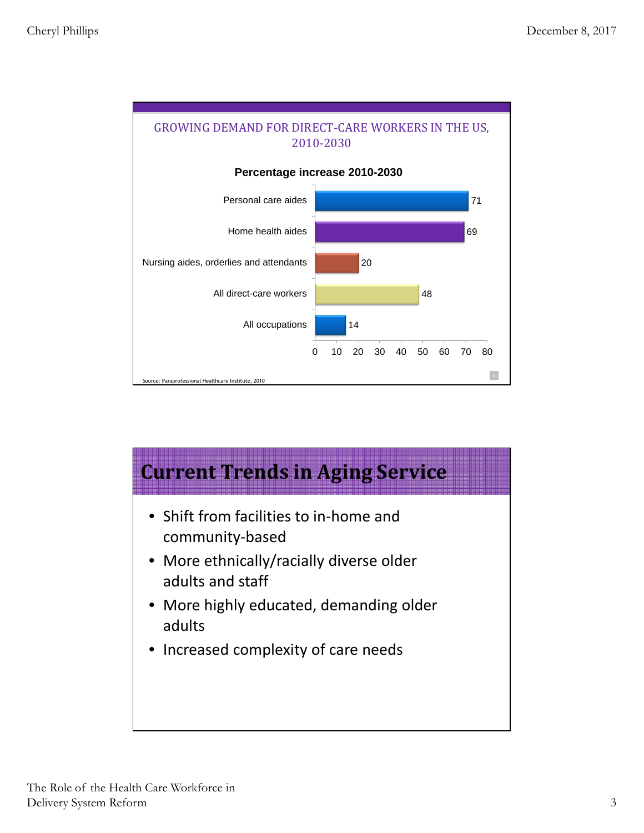

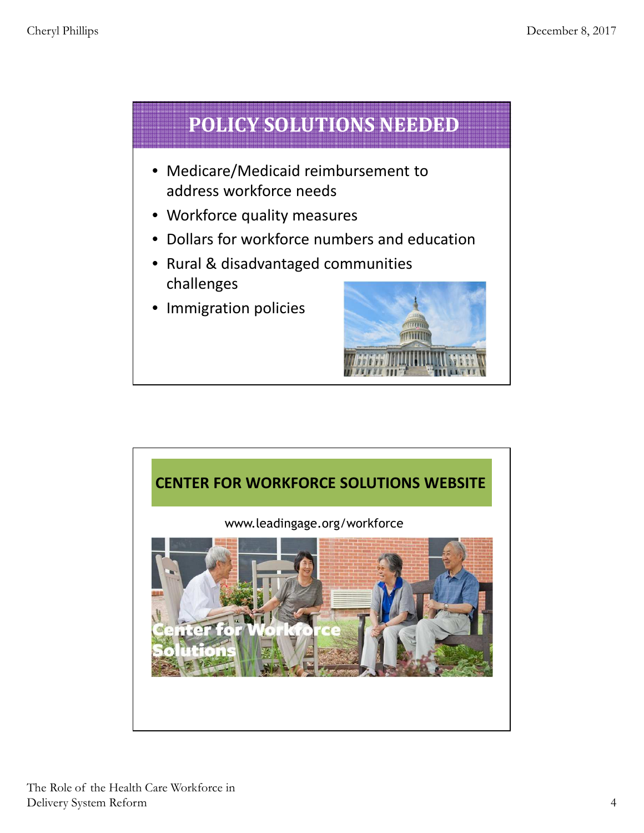

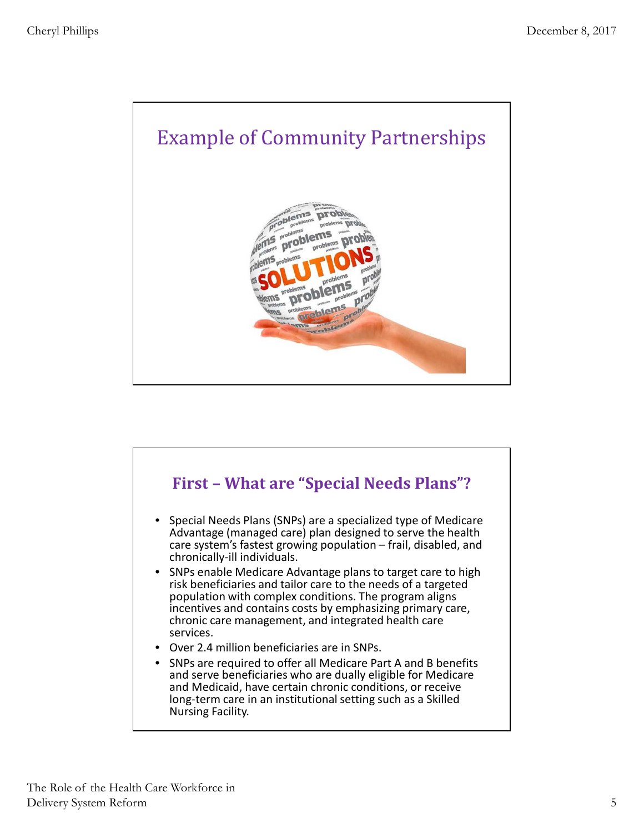

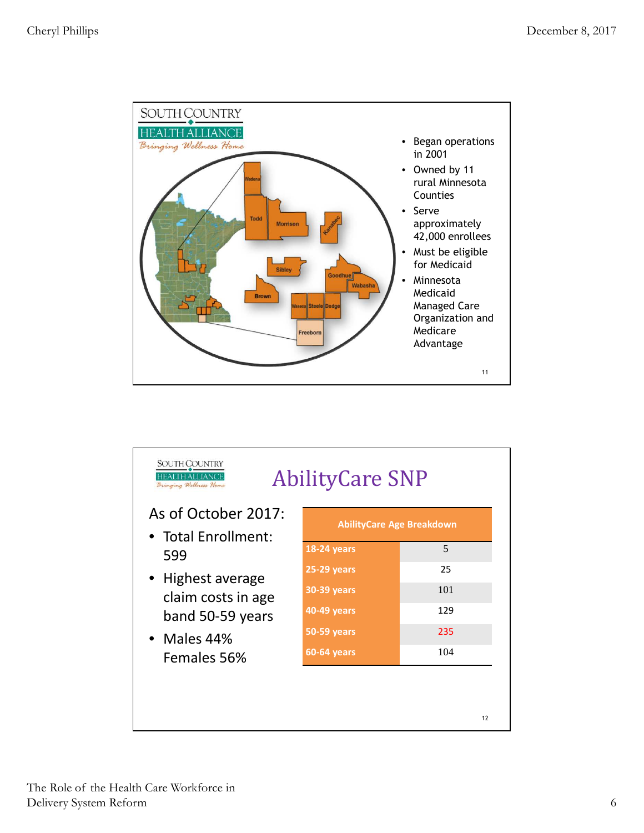

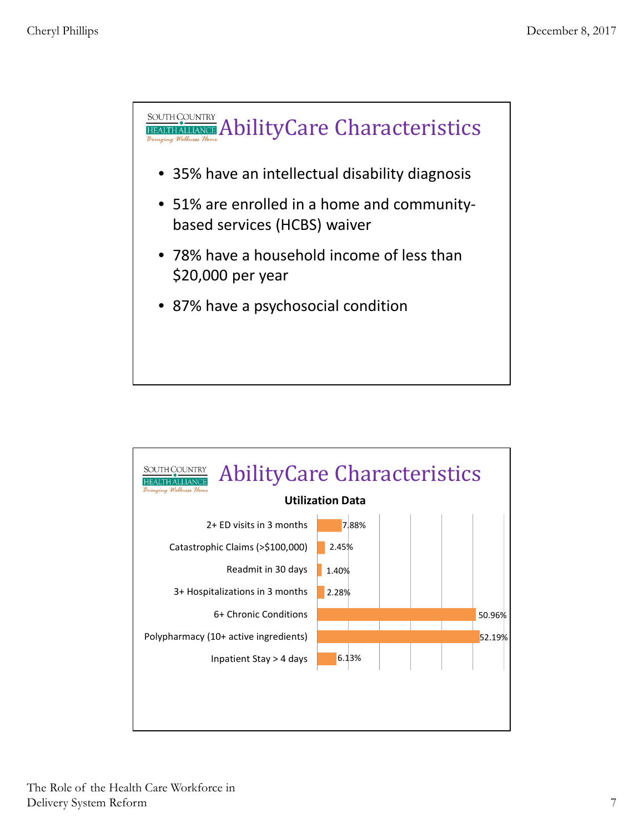

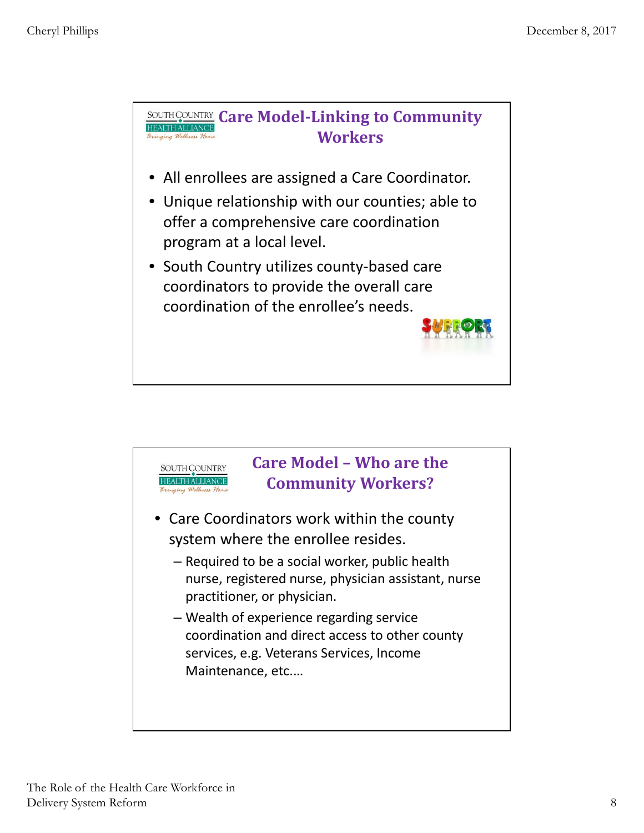